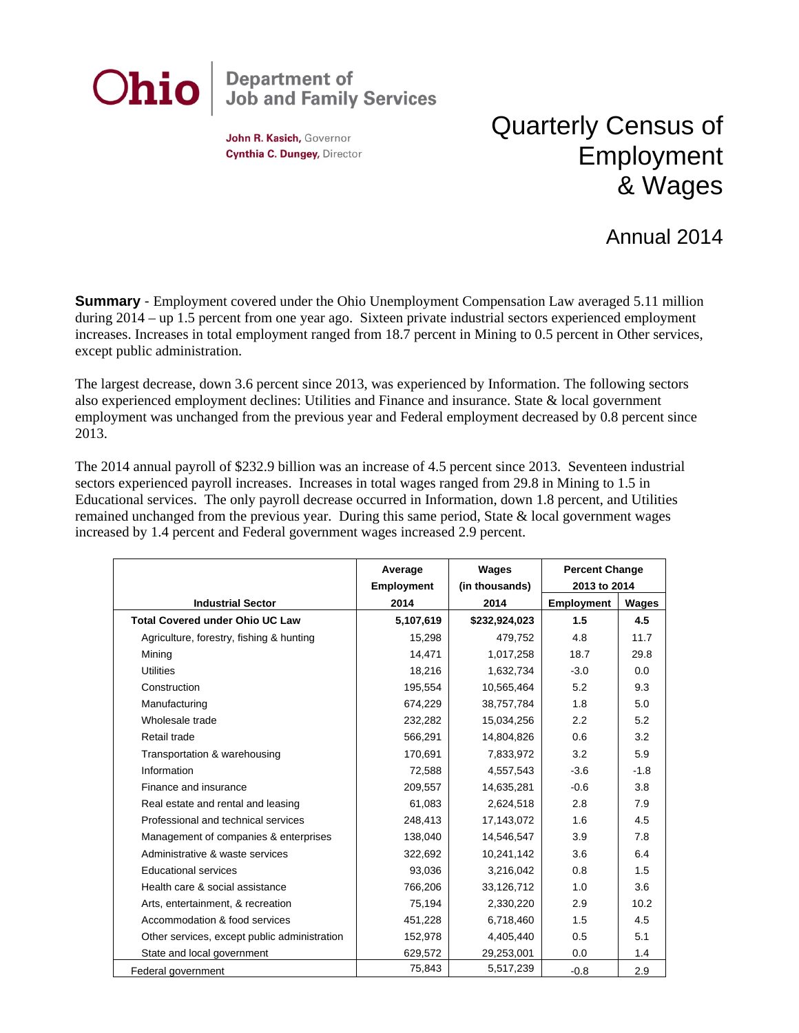

John R. Kasich, Governor Cynthia C. Dungey, Director

## Quarterly Census of Employment & Wages

## Annual 2014

**Summary** - Employment covered under the Ohio Unemployment Compensation Law averaged 5.11 million during 2014 – up 1.5 percent from one year ago. Sixteen private industrial sectors experienced employment increases. Increases in total employment ranged from 18.7 percent in Mining to 0.5 percent in Other services, except public administration.

The largest decrease, down 3.6 percent since 2013, was experienced by Information. The following sectors also experienced employment declines: Utilities and Finance and insurance. State & local government employment was unchanged from the previous year and Federal employment decreased by 0.8 percent since 2013.

The 2014 annual payroll of \$232.9 billion was an increase of 4.5 percent since 2013. Seventeen industrial sectors experienced payroll increases. Increases in total wages ranged from 29.8 in Mining to 1.5 in Educational services. The only payroll decrease occurred in Information, down 1.8 percent, and Utilities remained unchanged from the previous year. During this same period, State  $\&$  local government wages increased by 1.4 percent and Federal government wages increased 2.9 percent.

|                                              | Average           | Wages          | <b>Percent Change</b> |        |
|----------------------------------------------|-------------------|----------------|-----------------------|--------|
|                                              | <b>Employment</b> | (in thousands) | 2013 to 2014          |        |
| <b>Industrial Sector</b>                     | 2014              | 2014           | <b>Employment</b>     | Wages  |
| <b>Total Covered under Ohio UC Law</b>       | 5,107,619         | \$232,924,023  | 1.5                   | 4.5    |
| Agriculture, forestry, fishing & hunting     | 15,298            | 479,752        | 4.8                   | 11.7   |
| Mining                                       | 14,471            | 1,017,258      | 18.7                  | 29.8   |
| <b>Utilities</b>                             | 18,216            | 1,632,734      | $-3.0$                | 0.0    |
| Construction                                 | 195,554           | 10,565,464     | 5.2                   | 9.3    |
| Manufacturing                                | 674,229           | 38,757,784     | 1.8                   | 5.0    |
| Wholesale trade                              | 232,282           | 15,034,256     | 2.2                   | 5.2    |
| Retail trade                                 | 566,291           | 14,804,826     | 0.6                   | 3.2    |
| Transportation & warehousing                 | 170,691           | 7,833,972      | 3.2                   | 5.9    |
| Information                                  | 72.588            | 4,557,543      | $-3.6$                | $-1.8$ |
| Finance and insurance                        | 209.557           | 14,635,281     | $-0.6$                | 3.8    |
| Real estate and rental and leasing           | 61.083            | 2,624,518      | 2.8                   | 7.9    |
| Professional and technical services          | 248,413           | 17,143,072     | 1.6                   | 4.5    |
| Management of companies & enterprises        | 138,040           | 14,546,547     | 3.9                   | 7.8    |
| Administrative & waste services              | 322,692           | 10,241,142     | 3.6                   | 6.4    |
| <b>Educational services</b>                  | 93,036            | 3,216,042      | 0.8                   | 1.5    |
| Health care & social assistance              | 766,206           | 33,126,712     | 1.0                   | 3.6    |
| Arts, entertainment, & recreation            | 75,194            | 2,330,220      | 2.9                   | 10.2   |
| Accommodation & food services                | 451,228           | 6,718,460      | 1.5                   | 4.5    |
| Other services, except public administration | 152,978           | 4,405,440      | 0.5                   | 5.1    |
| State and local government                   | 629,572           | 29,253,001     | 0.0                   | 1.4    |
| Federal government                           | 75,843            | 5,517,239      | $-0.8$                | 2.9    |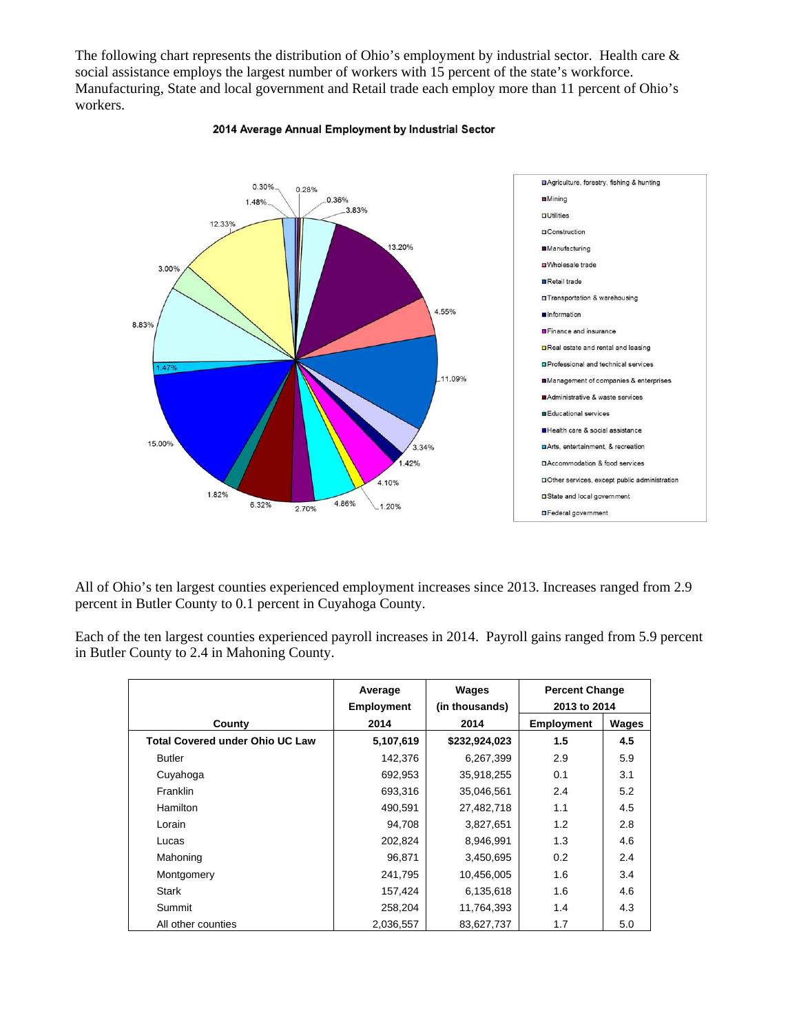The following chart represents the distribution of Ohio's employment by industrial sector. Health care & social assistance employs the largest number of workers with 15 percent of the state's workforce. Manufacturing, State and local government and Retail trade each employ more than 11 percent of Ohio's workers.



## 2014 Average Annual Employment by Industrial Sector

All of Ohio's ten largest counties experienced employment increases since 2013. Increases ranged from 2.9 percent in Butler County to 0.1 percent in Cuyahoga County.

Each of the ten largest counties experienced payroll increases in 2014. Payroll gains ranged from 5.9 percent in Butler County to 2.4 in Mahoning County.

|                                        | Average<br><b>Employment</b> | Wages<br>(in thousands) | <b>Percent Change</b><br>2013 to 2014 |              |
|----------------------------------------|------------------------------|-------------------------|---------------------------------------|--------------|
| County                                 | 2014                         | 2014                    | <b>Employment</b>                     | <b>Wages</b> |
| <b>Total Covered under Ohio UC Law</b> | 5,107,619                    | \$232,924,023           | 1.5                                   | 4.5          |
| <b>Butler</b>                          | 142,376                      | 6,267,399               | 2.9                                   | 5.9          |
| Cuyahoga                               | 692,953                      | 35,918,255              | 0.1                                   | 3.1          |
| Franklin                               | 693,316                      | 35,046,561              | 2.4                                   | 5.2          |
| Hamilton                               | 490,591                      | 27,482,718              | 1.1                                   | 4.5          |
| Lorain                                 | 94,708                       | 3,827,651               | 1.2                                   | 2.8          |
| Lucas                                  | 202,824                      | 8,946,991               | 1.3                                   | 4.6          |
| Mahoning                               | 96,871                       | 3,450,695               | 0.2                                   | 2.4          |
| Montgomery                             | 241,795                      | 10,456,005              | 1.6                                   | 3.4          |
| <b>Stark</b>                           | 157,424                      | 6,135,618               | 1.6                                   | 4.6          |
| Summit                                 | 258,204                      | 11,764,393              | 1.4                                   | 4.3          |
| All other counties                     | 2,036,557                    | 83,627,737              | 1.7                                   | 5.0          |